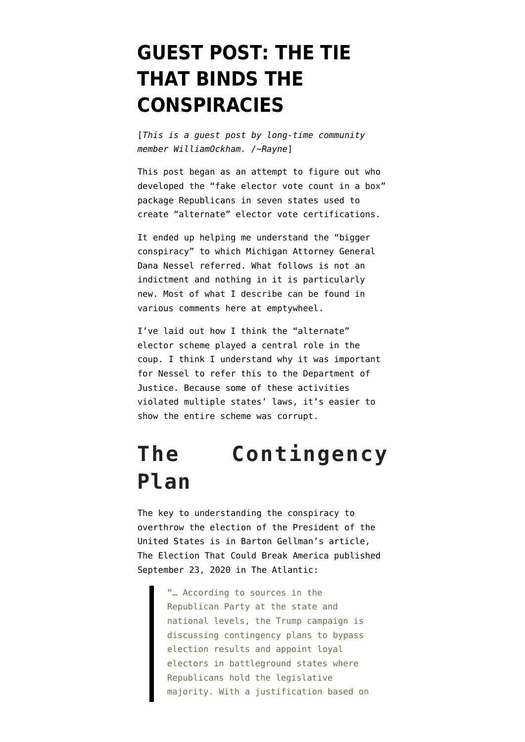## **[GUEST POST: THE TIE](https://www.emptywheel.net/2022/01/18/guest-post-the-tie-that-binds-the-conspiracies/) [THAT BINDS THE](https://www.emptywheel.net/2022/01/18/guest-post-the-tie-that-binds-the-conspiracies/) [CONSPIRACIES](https://www.emptywheel.net/2022/01/18/guest-post-the-tie-that-binds-the-conspiracies/)**

[*This is a guest post by long-time community member [WilliamOckham](https://twitter.com/WilliamOckhamTx). /~Rayne*]

This post began as an attempt to figure out who developed the "fake elector vote count in a box" package Republicans in seven states used to create "alternate" elector vote certifications.

It ended up helping me understand the "bigger conspiracy" to which Michigan Attorney General Dana Nessel referred. What follows is not an indictment and nothing in it is particularly new. Most of what I describe can be found in various comments here at emptywheel.

I've laid out how I think the "alternate" elector scheme played a central role in the coup. I think I understand why it was important for Nessel to refer this to the Department of Justice. Because some of these activities violated multiple states' laws, it's easier to show the entire scheme was corrupt.

## **The Contingency Plan**

The key to understanding the conspiracy to overthrow the election of the President of the United States is in Barton Gellman's article, [The Election That Could Break America](https://www.theatlantic.com/magazine/archive/2020/11/what-if-trump-refuses-concede/616424/) published September 23, 2020 in The Atlantic:

> "… According to sources in the Republican Party at the state and national levels, the Trump campaign is discussing contingency plans to bypass election results and appoint loyal electors in battleground states where Republicans hold the legislative majority. With a justification based on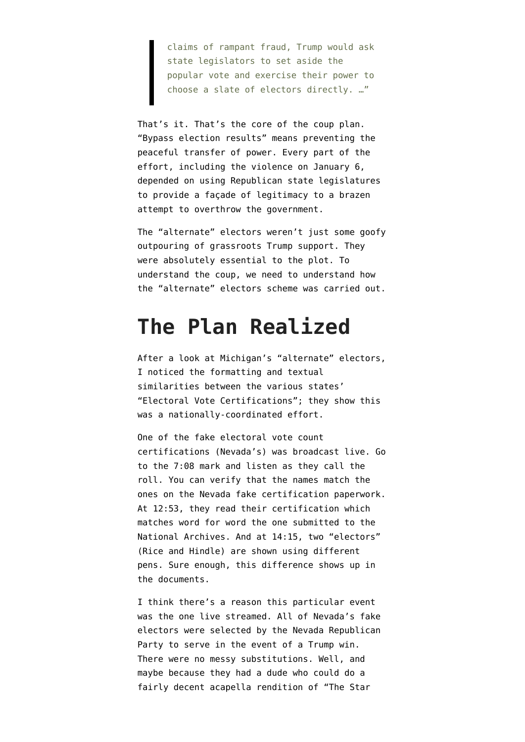claims of rampant fraud, Trump would ask state legislators to set aside the popular vote and exercise their power to choose a slate of electors directly. …"

That's it. That's the core of the coup plan. "Bypass election results" means preventing the peaceful transfer of power. Every part of the effort, including the violence on January 6, depended on using Republican state legislatures to provide a façade of legitimacy to a brazen attempt to overthrow the government.

The "alternate" electors weren't just some goofy outpouring of grassroots Trump support. They were absolutely essential to the plot. To understand the coup, we need to understand how the "alternate" electors scheme was carried out.

## **The Plan Realized**

After [a look at Michigan's "alternate" electors,](https://www.emptywheel.net/2022/01/12/a-look-at-michigans-alternate-electors/) I noticed the formatting and textual similarities between the various states' "Electoral Vote Certifications"; they show this was a nationally-coordinated effort.

One of the fake electoral vote count certifications (Nevada's) was [broadcast live](https://www.pscp.tv/w/1BdGYYLvzZlGX). Go to the 7:08 mark and listen as they call the roll. You can verify that the names match the ones on the Nevada fake certification paperwork. At 12:53, they read their certification which matches word for word the one submitted to the National Archives. And at 14:15, two "electors" (Rice and Hindle) are shown using different pens. Sure enough, this difference shows up in the documents.

I think there's a reason this particular event was the one live streamed. All of Nevada's fake electors were selected by the Nevada Republican Party to serve in the event of a Trump win. There were no messy substitutions. Well, and maybe because they had a dude who could do a fairly decent acapella rendition of "The Star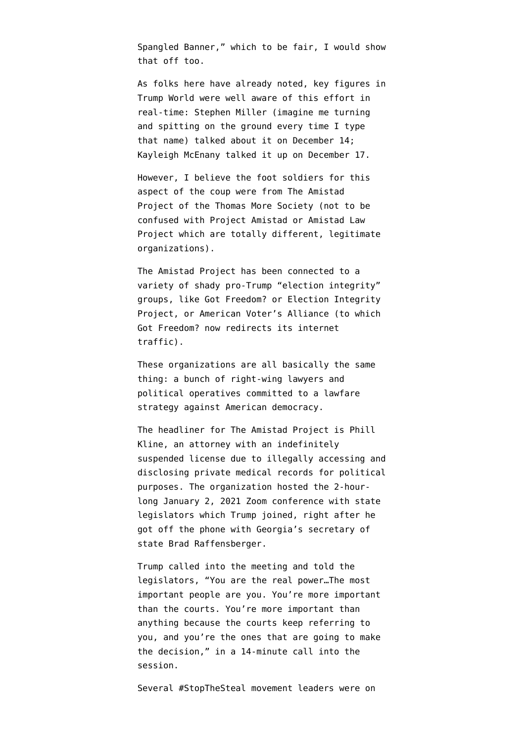Spangled Banner," which to be fair, I would show that off too.

As folks here have already noted, key figures in Trump World were well aware of this effort in real-time: Stephen Miller (imagine me turning and spitting on the ground every time I type that name) [talked about it on December 14;](https://twitter.com/AndrewFeinberg/status/1338482805299351552) Kayleigh McEnany [talked it up on December 17](https://twitter.com/acyn/status/1339758838535180288).

However, I believe the foot soldiers for this aspect of the coup were from [The Amistad](https://web.archive.org/web/20210603135413/https://www.theamistadproject.org/) [Project](https://web.archive.org/web/20210603135413/https://www.theamistadproject.org/) of the [Thomas More Society](https://en.wikipedia.org/wiki/Thomas_More_Society) (not to be confused with [Project Amistad](https://projectamistad.org/) or [Amistad Law](https://amistadlaw.org/) [Project](https://amistadlaw.org/) which are totally different, legitimate organizations).

The Amistad Project has been connected to a variety of shady pro-Trump "election integrity" groups, like [Got Freedom?](https://web.archive.org/web/20210102214501/https://got-freedom.org/evidence/) or [Election Integrity](https://web.archive.org/web/20210303113703/https://2020electionintegrity.com/) [Project,](https://web.archive.org/web/20210303113703/https://2020electionintegrity.com/) or [American Voter's Alliance](https://web.archive.org/web/20210608053220/https://americanvotersalliance.org/) (to which Got Freedom? now redirects its internet traffic).

These organizations are all basically the same thing: a bunch of right-wing lawyers and political operatives committed to a lawfare strategy against American democracy.

The headliner for The Amistad Project is Phill Kline, an attorney [with an indefinitely](https://en.wikipedia.org/wiki/Phill_Kline%23License_to_practice_law_suspended) [suspended license](https://en.wikipedia.org/wiki/Phill_Kline%23License_to_practice_law_suspended) due to illegally accessing and disclosing private medical records for political purposes. The organization hosted the 2-hourlong January 2, 2021 [Zoom conference](https://www.washingtonexaminer.com/washington-secrets/exclusive-trump-urges-state-legislators-to-reject-electoral-votes-you-are-the-real-power) with state legislators which Trump joined, right after he [got off the phone](https://en.wikipedia.org/wiki/Trump%E2%80%93Raffensperger_phone_call#:~:text=On%20January%202%2C%202021%2C%20during,from%20the%202020%20presidential%20election.) with Georgia's secretary of state Brad Raffensberger.

Trump called into the meeting and told the legislators, "You are the real power…The most important people are you. You're more important than the courts. You're more important than anything because the courts keep referring to you, and you're the ones that are going to make the decision," in a [14-minute call](https://www.washingtonexaminer.com/washington-secrets/exclusive-trump-urges-state-legislators-to-reject-electoral-votes-you-are-the-real-power) into the session.

Several #StopTheSteal movement leaders were on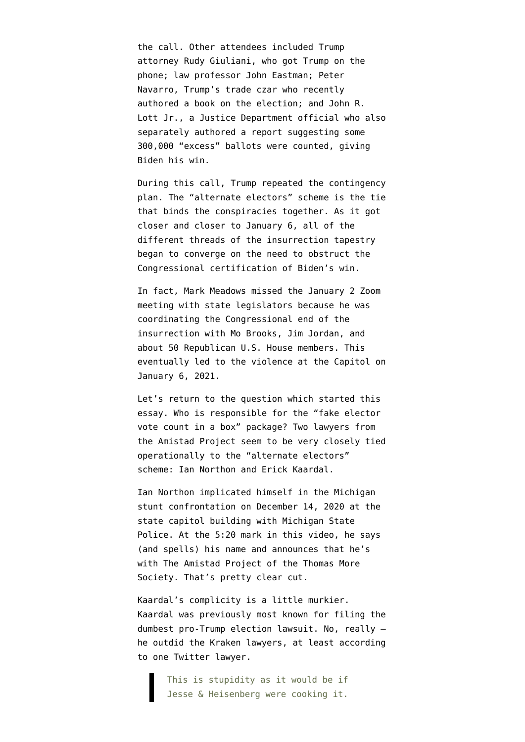the call. Other attendees included Trump attorney Rudy Giuliani, who got Trump on the phone; law professor John Eastman; Peter Navarro, Trump's trade czar who recently [authored a book](https://www.amazon.com/gp/product/B09DQ3VWLL) on the election; and John R. Lott Jr., a Justice Department official who also separately [authored a report](https://en.wikipedia.org/wiki/John_Lott#Voter_fraud_claims) suggesting some 300,000 "excess" ballots were counted, giving Biden his win.

During this call, Trump repeated the contingency plan. The "alternate electors" scheme is the tie that binds the conspiracies together. As it got closer and closer to January 6, all of the different threads of the insurrection tapestry began to converge on the need to obstruct the Congressional certification of Biden's win.

In fact, Mark Meadows missed the January 2 Zoom meeting with state legislators because he was coordinating the Congressional end of the insurrection with Mo Brooks, Jim Jordan, and about 50 Republican U.S. House members. This eventually led to the violence at the Capitol on January 6, 2021.

Let's return to the question which started this essay. Who is responsible for the "fake elector vote count in a box" package? Two lawyers from the Amistad Project seem to be very closely tied operationally to the "alternate electors" scheme: Ian Northon and Erick Kaardal.

Ian Northon implicated himself in the Michigan stunt confrontation on December 14, 2020 at the state capitol building with Michigan State Police. At the 5:20 mark [in this video,](https://www.youtube.com/watch?v=P_NgLQxMV9c&t=358s&ab_channel=DetroitFreePress) he says (and spells) his name and announces that he's with The Amistad Project of the Thomas More Society. That's pretty clear cut.

Kaardal's complicity is a little murkier. Kaardal was previously most known for filing the dumbest pro-Trump election lawsuit. No, really – he outdid the Kraken lawyers, at least according to [one Twitter lawyer](https://twitter.com/AkivaMCohen/status/1341522766244274179).

> This is stupidity as it would be if Jesse & Heisenberg were cooking it.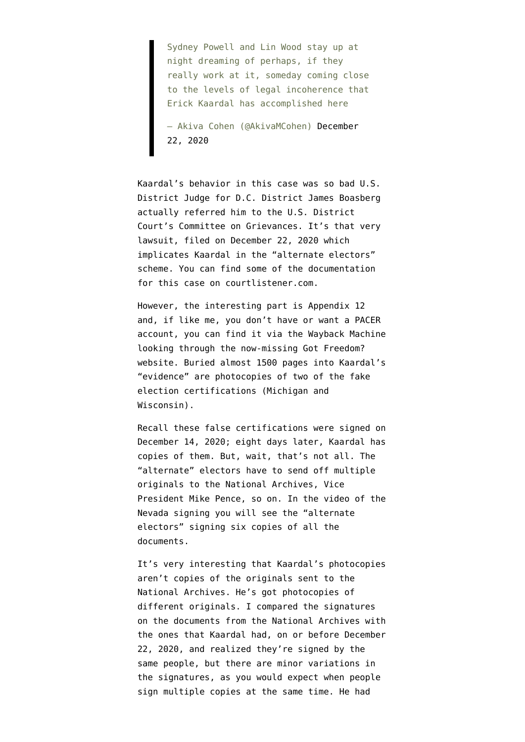Sydney Powell and Lin Wood stay up at night dreaming of perhaps, if they really work at it, someday coming close to the levels of legal incoherence that Erick Kaardal has accomplished here

— Akiva Cohen (@AkivaMCohen) [December](https://twitter.com/AkivaMCohen/status/1341522766244274179?ref_src=twsrc%5Etfw) [22, 2020](https://twitter.com/AkivaMCohen/status/1341522766244274179?ref_src=twsrc%5Etfw)

Kaardal's behavior in this case was so bad U.S. District Judge for D.C. District James Boasberg actually referred him to the U.S. District Court's [Committee on Grievances.](https://www.dcd.uscourts.gov/sites/dcd/files/COG%20Web%20Listing%202021.pdf) It's that very lawsuit, filed on December 22, 2020 which implicates Kaardal in the "alternate electors" scheme. You can find some of the documentation for this case on [courtlistener.com](https://www.courtlistener.com/docket/19760252/wisconsin-voters-alliance-v-pence/).

However, the interesting part is Appendix 12 and, if like me, you don't have or want a PACER account, you can find it via the Wayback Machine looking through the now-missing Got Freedom? website. Buried almost 1500 pages into Kaardal's "evidence" are photocopies of two of the fake election certifications (Michigan and Wisconsin).

Recall these false certifications were signed on December 14, 2020; eight days later, Kaardal has copies of them. But, wait, that's not all. The "alternate" electors have to send off multiple originals to the National Archives, Vice President Mike Pence, so on. In the video of the Nevada signing you will see the "alternate electors" signing six copies of all the documents.

It's very interesting that Kaardal's photocopies aren't copies of the originals sent to the National Archives. He's got photocopies of different originals. I compared the signatures on the documents from the National Archives with the ones that Kaardal had, on or before December 22, 2020, and realized they're signed by the same people, but there are minor variations in the signatures, as you would expect when people sign multiple copies at the same time. He had